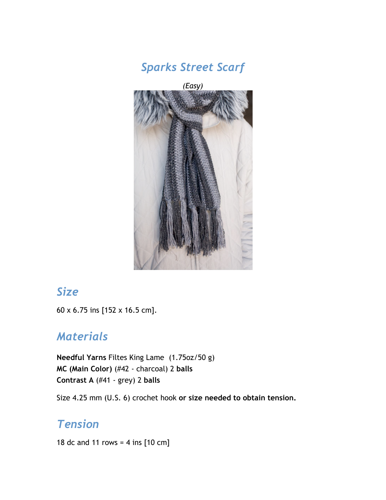

*Sparks Street Scarf*

# *Size*

60 x 6.75 ins [152 x 16.5 cm].

### *Materials*

**Needful Yarns** Filtes King Lame (1.75oz/50 g) **MC (Main Color)** (#42 - charcoal) 2 **balls Contrast A** (#41 - grey) 2 **balls**

Size 4.25 mm (U.S. 6) crochet hook **or size needed to obtain tension.**

# *Tension*

18 dc and 11 rows = 4 ins  $[10 \text{ cm}]$